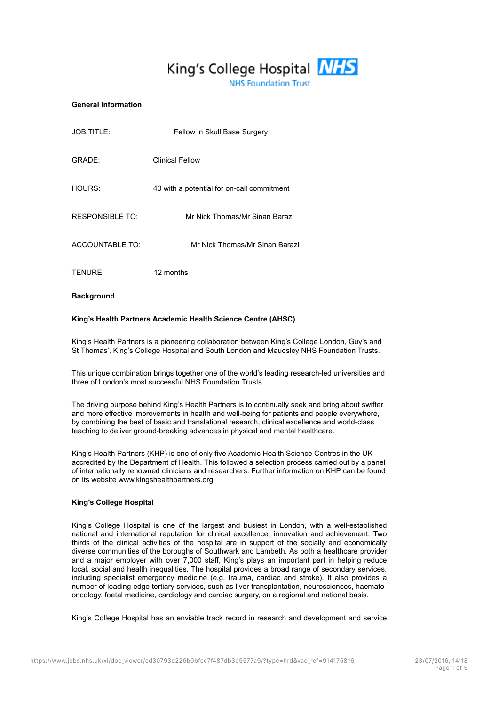# King's College Hospital **NHS**

**NHS Foundation Trust** 

#### **General Information**

| <b>JOB TITLE:</b>      | Fellow in Skull Base Surgery               |
|------------------------|--------------------------------------------|
| GRADE:                 | <b>Clinical Fellow</b>                     |
| HOURS:                 | 40 with a potential for on-call commitment |
| RESPONSIBLE TO:        | Mr Nick Thomas/Mr Sinan Barazi             |
| <b>ACCOUNTABLE TO:</b> | Mr Nick Thomas/Mr Sinan Barazi             |
| TENURE:                | 12 months                                  |

**Background**

#### **King's Health Partners Academic Health Science Centre (AHSC)**

King's Health Partners is a pioneering collaboration between King's College London, Guy's and St Thomas', King's College Hospital and South London and Maudsley NHS Foundation Trusts.

This unique combination brings together one of the world's leading research-led universities and three of London's most successful NHS Foundation Trusts.

The driving purpose behind King's Health Partners is to continually seek and bring about swifter and more effective improvements in health and well-being for patients and people everywhere, by combining the best of basic and translational research, clinical excellence and world-class teaching to deliver ground-breaking advances in physical and mental healthcare.

King's Health Partners (KHP) is one of only five Academic Health Science Centres in the UK accredited by the Department of Health. This followed a selection process carried out by a panel of internationally renowned clinicians and researchers. Further information on KHP can be found on its website www.kingshealthpartners.org

#### **King's College Hospital**

King's College Hospital is one of the largest and busiest in London, with a well-established national and international reputation for clinical excellence, innovation and achievement. Two thirds of the clinical activities of the hospital are in support of the socially and economically diverse communities of the boroughs of Southwark and Lambeth. As both a healthcare provider and a major employer with over 7,000 staff, King's plays an important part in helping reduce local, social and health inequalities. The hospital provides a broad range of secondary services, including specialist emergency medicine (e.g. trauma, cardiac and stroke). It also provides a number of leading edge tertiary services, such as liver transplantation, neurosciences, haematooncology, foetal medicine, cardiology and cardiac surgery, on a regional and national basis.

King's College Hospital has an enviable track record in research and development and service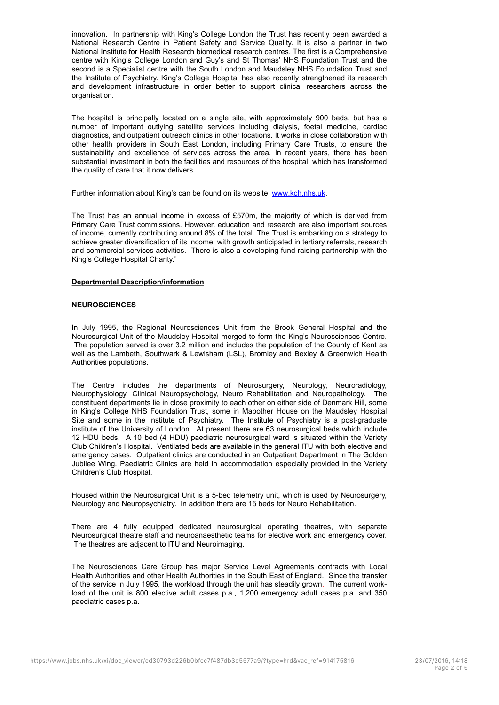innovation. In partnership with King's College London the Trust has recently been awarded a National Research Centre in Patient Safety and Service Quality. It is also a partner in two National Institute for Health Research biomedical research centres. The first is a Comprehensive centre with King's College London and Guy's and St Thomas' NHS Foundation Trust and the second is a Specialist centre with the South London and Maudsley NHS Foundation Trust and the Institute of Psychiatry. King's College Hospital has also recently strengthened its research and development infrastructure in order better to support clinical researchers across the organisation.

The hospital is principally located on a single site, with approximately 900 beds, but has a number of important outlying satellite services including dialysis, foetal medicine, cardiac diagnostics, and outpatient outreach clinics in other locations. It works in close collaboration with other health providers in South East London, including Primary Care Trusts, to ensure the sustainability and excellence of services across the area. In recent years, there has been substantial investment in both the facilities and resources of the hospital, which has transformed the quality of care that it now delivers.

Further information about King's can be found on its website, www.kch.nhs.uk.

The Trust has an annual income in excess of £570m, the majority of which is derived from Primary Care Trust commissions. However, education and research are also important sources of income, currently contributing around 8% of the total. The Trust is embarking on a strategy to achieve greater diversification of its income, with growth anticipated in tertiary referrals, research and commercial services activities. There is also a developing fund raising partnership with the King's College Hospital Charity."

#### **Departmental Description/information**

#### **NEUROSCIENCES**

In July 1995, the Regional Neurosciences Unit from the Brook General Hospital and the Neurosurgical Unit of the Maudsley Hospital merged to form the King's Neurosciences Centre. The population served is over 3.2 million and includes the population of the County of Kent as well as the Lambeth, Southwark & Lewisham (LSL), Bromley and Bexley & Greenwich Health Authorities populations.

The Centre includes the departments of Neurosurgery, Neurology, Neuroradiology, Neurophysiology, Clinical Neuropsychology, Neuro Rehabilitation and Neuropathology. The constituent departments lie in close proximity to each other on either side of Denmark Hill, some in King's College NHS Foundation Trust, some in Mapother House on the Maudsley Hospital Site and some in the Institute of Psychiatry. The Institute of Psychiatry is a post-graduate institute of the University of London. At present there are 63 neurosurgical beds which include 12 HDU beds. A 10 bed (4 HDU) paediatric neurosurgical ward is situated within the Variety Club Children's Hospital. Ventilated beds are available in the general ITU with both elective and emergency cases. Outpatient clinics are conducted in an Outpatient Department in The Golden Jubilee Wing. Paediatric Clinics are held in accommodation especially provided in the Variety Children's Club Hospital.

Housed within the Neurosurgical Unit is a 5-bed telemetry unit, which is used by Neurosurgery, Neurology and Neuropsychiatry. In addition there are 15 beds for Neuro Rehabilitation.

There are 4 fully equipped dedicated neurosurgical operating theatres, with separate Neurosurgical theatre staff and neuroanaesthetic teams for elective work and emergency cover. The theatres are adjacent to ITU and Neuroimaging.

The Neurosciences Care Group has major Service Level Agreements contracts with Local Health Authorities and other Health Authorities in the South East of England. Since the transfer of the service in July 1995, the workload through the unit has steadily grown. The current workload of the unit is 800 elective adult cases p.a., 1,200 emergency adult cases p.a. and 350 paediatric cases p.a.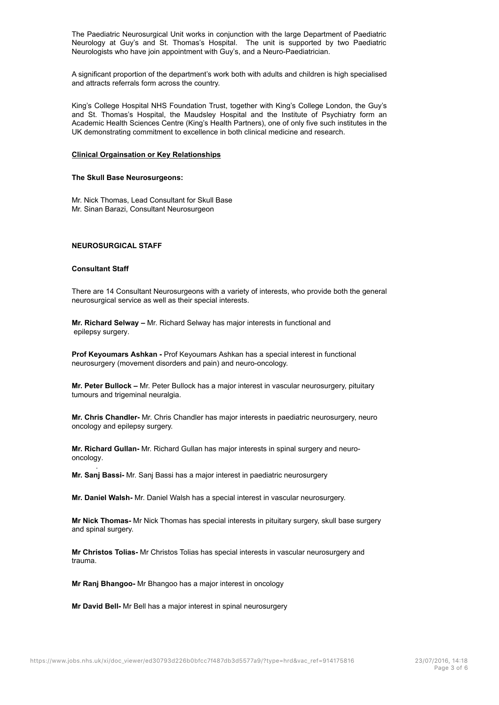The Paediatric Neurosurgical Unit works in conjunction with the large Department of Paediatric Neurology at Guy's and St. Thomas's Hospital. The unit is supported by two Paediatric Neurologists who have join appointment with Guy's, and a Neuro-Paediatrician.

A significant proportion of the department's work both with adults and children is high specialised and attracts referrals form across the country.

King's College Hospital NHS Foundation Trust, together with King's College London, the Guy's and St. Thomas's Hospital, the Maudsley Hospital and the Institute of Psychiatry form an Academic Health Sciences Centre (King's Health Partners), one of only five such institutes in the UK demonstrating commitment to excellence in both clinical medicine and research.

#### **Clinical Orgainsation or Key Relationships**

#### **The Skull Base Neurosurgeons:**

Mr. Nick Thomas, Lead Consultant for Skull Base Mr. Sinan Barazi, Consultant Neurosurgeon

## **NEUROSURGICAL STAFF**

#### **Consultant Staff**

.

There are 14 Consultant Neurosurgeons with a variety of interests, who provide both the general neurosurgical service as well as their special interests.

**Mr. Richard Selway –** Mr. Richard Selway has major interests in functional and epilepsy surgery.

**Prof Keyoumars Ashkan -** Prof Keyoumars Ashkan has a special interest in functional neurosurgery (movement disorders and pain) and neuro-oncology.

**Mr. Peter Bullock –** Mr. Peter Bullock has a major interest in vascular neurosurgery, pituitary tumours and trigeminal neuralgia.

**Mr. Chris Chandler-** Mr. Chris Chandler has major interests in paediatric neurosurgery, neuro oncology and epilepsy surgery.

**Mr. Richard Gullan-** Mr. Richard Gullan has major interests in spinal surgery and neurooncology.

**Mr. Sanj Bassi-** Mr. Sanj Bassi has a major interest in paediatric neurosurgery

**Mr. Daniel Walsh-** Mr. Daniel Walsh has a special interest in vascular neurosurgery.

**Mr Nick Thomas-** Mr Nick Thomas has special interests in pituitary surgery, skull base surgery and spinal surgery.

**Mr Christos Tolias-** Mr Christos Tolias has special interests in vascular neurosurgery and trauma.

**Mr Ranj Bhangoo-** Mr Bhangoo has a major interest in oncology

**Mr David Bell-** Mr Bell has a major interest in spinal neurosurgery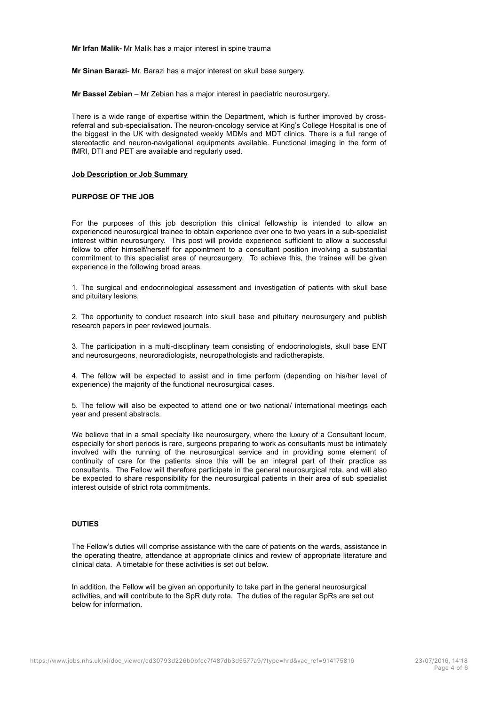**Mr Irfan Malik-** Mr Malik has a major interest in spine trauma

**Mr Sinan Barazi**- Mr. Barazi has a major interest on skull base surgery.

**Mr Bassel Zebian** – Mr Zebian has a major interest in paediatric neurosurgery.

There is a wide range of expertise within the Department, which is further improved by crossreferral and sub-specialisation. The neuron-oncology service at King's College Hospital is one of the biggest in the UK with designated weekly MDMs and MDT clinics. There is a full range of stereotactic and neuron-navigational equipments available. Functional imaging in the form of fMRI, DTI and PET are available and regularly used.

#### **Job Description or Job Summary**

#### **PURPOSE OF THE JOB**

For the purposes of this job description this clinical fellowship is intended to allow an experienced neurosurgical trainee to obtain experience over one to two years in a sub-specialist interest within neurosurgery. This post will provide experience sufficient to allow a successful fellow to offer himself/herself for appointment to a consultant position involving a substantial commitment to this specialist area of neurosurgery. To achieve this, the trainee will be given experience in the following broad areas.

1. The surgical and endocrinological assessment and investigation of patients with skull base and pituitary lesions.

2. The opportunity to conduct research into skull base and pituitary neurosurgery and publish research papers in peer reviewed journals.

3. The participation in a multi-disciplinary team consisting of endocrinologists, skull base ENT and neurosurgeons, neuroradiologists, neuropathologists and radiotherapists.

4. The fellow will be expected to assist and in time perform (depending on his/her level of experience) the majority of the functional neurosurgical cases.

5. The fellow will also be expected to attend one or two national/ international meetings each year and present abstracts.

We believe that in a small specialty like neurosurgery, where the luxury of a Consultant locum, especially for short periods is rare, surgeons preparing to work as consultants must be intimately involved with the running of the neurosurgical service and in providing some element of continuity of care for the patients since this will be an integral part of their practice as consultants. The Fellow will therefore participate in the general neurosurgical rota, and will also be expected to share responsibility for the neurosurgical patients in their area of sub specialist interest outside of strict rota commitments.

#### **DUTIES**

The Fellow's duties will comprise assistance with the care of patients on the wards, assistance in the operating theatre, attendance at appropriate clinics and review of appropriate literature and clinical data. A timetable for these activities is set out below.

In addition, the Fellow will be given an opportunity to take part in the general neurosurgical activities, and will contribute to the SpR duty rota. The duties of the regular SpRs are set out below for information.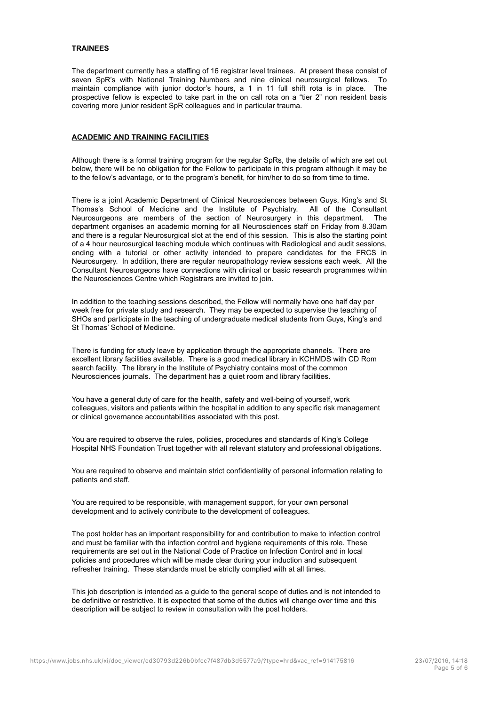#### **TRAINEES**

The department currently has a staffing of 16 registrar level trainees. At present these consist of seven SpR's with National Training Numbers and nine clinical neurosurgical fellows. To maintain compliance with junior doctor's hours, a 1 in 11 full shift rota is in place. The prospective fellow is expected to take part in the on call rota on a "tier 2" non resident basis covering more junior resident SpR colleagues and in particular trauma.

#### **ACADEMIC AND TRAINING FACILITIES**

Although there is a formal training program for the regular SpRs, the details of which are set out below, there will be no obligation for the Fellow to participate in this program although it may be to the fellow's advantage, or to the program's benefit, for him/her to do so from time to time.

There is a joint Academic Department of Clinical Neurosciences between Guys, King's and St Thomas's School of Medicine and the Institute of Psychiatry. All of the Consultant Neurosurgeons are members of the section of Neurosurgery in this department. The department organises an academic morning for all Neurosciences staff on Friday from 8.30am and there is a regular Neurosurgical slot at the end of this session. This is also the starting point of a 4 hour neurosurgical teaching module which continues with Radiological and audit sessions, ending with a tutorial or other activity intended to prepare candidates for the FRCS in Neurosurgery. In addition, there are regular neuropathology review sessions each week. All the Consultant Neurosurgeons have connections with clinical or basic research programmes within the Neurosciences Centre which Registrars are invited to join.

In addition to the teaching sessions described, the Fellow will normally have one half day per week free for private study and research. They may be expected to supervise the teaching of SHOs and participate in the teaching of undergraduate medical students from Guys, King's and St Thomas' School of Medicine.

There is funding for study leave by application through the appropriate channels. There are excellent library facilities available. There is a good medical library in KCHMDS with CD Rom search facility. The library in the Institute of Psychiatry contains most of the common Neurosciences journals. The department has a quiet room and library facilities.

You have a general duty of care for the health, safety and well-being of yourself, work colleagues, visitors and patients within the hospital in addition to any specific risk management or clinical governance accountabilities associated with this post.

You are required to observe the rules, policies, procedures and standards of King's College Hospital NHS Foundation Trust together with all relevant statutory and professional obligations.

You are required to observe and maintain strict confidentiality of personal information relating to patients and staff.

You are required to be responsible, with management support, for your own personal development and to actively contribute to the development of colleagues.

The post holder has an important responsibility for and contribution to make to infection control and must be familiar with the infection control and hygiene requirements of this role. These requirements are set out in the National Code of Practice on Infection Control and in local policies and procedures which will be made clear during your induction and subsequent refresher training. These standards must be strictly complied with at all times.

This job description is intended as a guide to the general scope of duties and is not intended to be definitive or restrictive. It is expected that some of the duties will change over time and this description will be subject to review in consultation with the post holders.